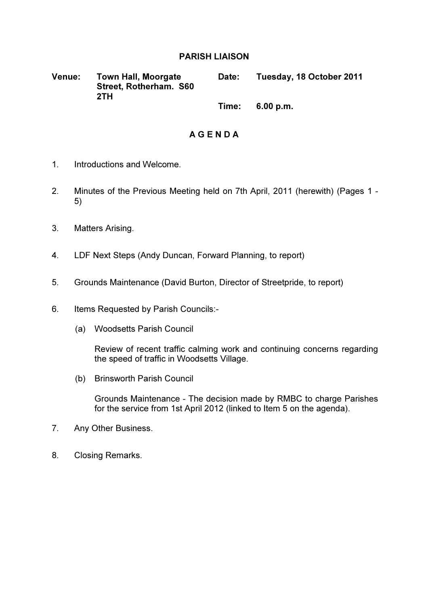# PARISH LIAISON

Venue: Town Hall, Moorgate Street, Rotherham. S60 2TH Date: Tuesday, 18 October 2011

Time: 6.00 p.m.

# A G E N D A

- 1. Introductions and Welcome.
- 2. Minutes of the Previous Meeting held on 7th April, 2011 (herewith) (Pages 1 5)
- 3. Matters Arising.
- 4. LDF Next Steps (Andy Duncan, Forward Planning, to report)
- 5. Grounds Maintenance (David Burton, Director of Streetpride, to report)
- 6. Items Requested by Parish Councils:-
	- (a) Woodsetts Parish Council

 Review of recent traffic calming work and continuing concerns regarding the speed of traffic in Woodsetts Village.

(b) Brinsworth Parish Council

 Grounds Maintenance - The decision made by RMBC to charge Parishes for the service from 1st April 2012 (linked to Item 5 on the agenda).

- 7. Any Other Business.
- 8. Closing Remarks.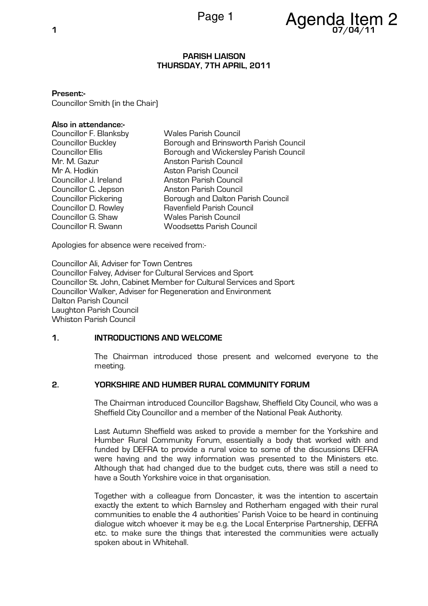

## PARISH LIAISON THURSDAY, 7TH APRIL, 2011

#### Present:-

Councillor Smith (in the Chair)

## Also in attendance:-

| Councillor F. Blanksby      | <b>Wales Parish Council</b>           |
|-----------------------------|---------------------------------------|
| <b>Councillor Buckley</b>   | Borough and Brinsworth Parish Council |
| <b>Councillor Ellis</b>     | Borough and Wickersley Parish Council |
| Mr. M. Gazur                | <b>Anston Parish Council</b>          |
| Mr A. Hodkin                | <b>Aston Parish Council</b>           |
| Councillor J. Ireland       | Anston Parish Council                 |
| Councillor C. Jepson        | Anston Parish Council                 |
| <b>Councillor Pickering</b> | Borough and Dalton Parish Council     |
| Councillor D. Rowley        | Ravenfield Parish Council             |
| Councillor G. Shaw          | <b>Wales Parish Council</b>           |
| Councillor R. Swann         | <b>Woodsetts Parish Council</b>       |
|                             |                                       |

Apologies for absence were received from:-

Councillor Ali, Adviser for Town Centres Councillor Falvey, Adviser for Cultural Services and Sport Councillor St. John, Cabinet Member for Cultural Services and Sport Councillor Walker, Adviser for Regeneration and Environment Dalton Parish Council Laughton Parish Council Whiston Parish Council

# 1. INTRODUCTIONS AND WELCOME

The Chairman introduced those present and welcomed everyone to the meeting.

#### 2. YORKSHIRE AND HUMBER RURAL COMMUNITY FORUM

The Chairman introduced Councillor Bagshaw, Sheffield City Council, who was a Sheffield City Councillor and a member of the National Peak Authority.

Last Autumn Sheffield was asked to provide a member for the Yorkshire and Humber Rural Community Forum, essentially a body that worked with and funded by DEFRA to provide a rural voice to some of the discussions DEFRA were having and the way information was presented to the Ministers etc. Although that had changed due to the budget cuts, there was still a need to have a South Yorkshire voice in that organisation.

Together with a colleague from Doncaster, it was the intention to ascertain exactly the extent to which Barnsley and Rotherham engaged with their rural communities to enable the 4 authorities' Parish Voice to be heard in continuing dialogue witch whoever it may be e.g. the Local Enterprise Partnership, DEFRA etc. to make sure the things that interested the communities were actually spoken about in Whitehall.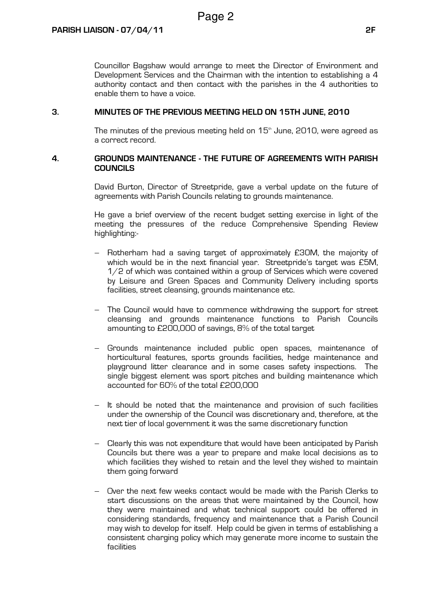Councillor Bagshaw would arrange to meet the Director of Environment and Development Services and the Chairman with the intention to establishing a 4 authority contact and then contact with the parishes in the 4 authorities to enable them to have a voice.

## 3. MINUTES OF THE PREVIOUS MEETING HELD ON 15TH JUNE, 2010

The minutes of the previous meeting held on  $15<sup>th</sup>$  June, 2010, were agreed as a correct record.

## 4. GROUNDS MAINTENANCE - THE FUTURE OF AGREEMENTS WITH PARISH **COUNCILS**

Page 2

David Burton, Director of Streetpride, gave a verbal update on the future of agreements with Parish Councils relating to grounds maintenance.

He gave a brief overview of the recent budget setting exercise in light of the meeting the pressures of the reduce Comprehensive Spending Review highlighting:-

- − Rotherham had a saving target of approximately £30M, the majority of which would be in the next financial year. Streetpride's target was £5M, 1/2 of which was contained within a group of Services which were covered by Leisure and Green Spaces and Community Delivery including sports facilities, street cleansing, grounds maintenance etc.
- − The Council would have to commence withdrawing the support for street cleansing and grounds maintenance functions to Parish Councils amounting to £200,000 of savings, 8% of the total target
- − Grounds maintenance included public open spaces, maintenance of horticultural features, sports grounds facilities, hedge maintenance and playground litter clearance and in some cases safety inspections. The single biggest element was sport pitches and building maintenance which accounted for 60% of the total £200,000
- It should be noted that the maintenance and provision of such facilities under the ownership of the Council was discretionary and, therefore, at the next tier of local government it was the same discretionary function
- − Clearly this was not expenditure that would have been anticipated by Parish Councils but there was a year to prepare and make local decisions as to which facilities they wished to retain and the level they wished to maintain them going forward
- − Over the next few weeks contact would be made with the Parish Clerks to start discussions on the areas that were maintained by the Council, how they were maintained and what technical support could be offered in considering standards, frequency and maintenance that a Parish Council may wish to develop for itself. Help could be given in terms of establishing a consistent charging policy which may generate more income to sustain the facilities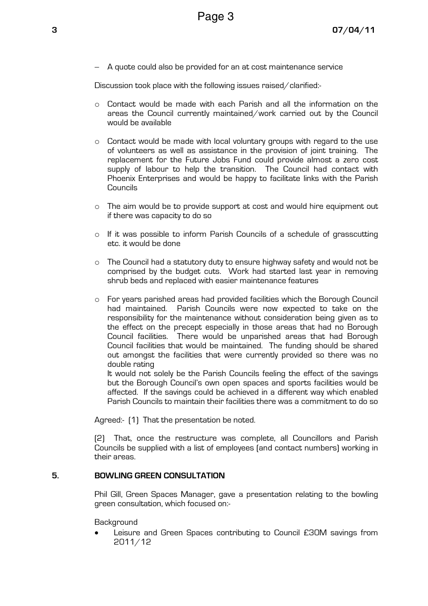− A quote could also be provided for an at cost maintenance service

Discussion took place with the following issues raised/clarified:-

- $\circ$  Contact would be made with each Parish and all the information on the areas the Council currently maintained/work carried out by the Council would be available
- o Contact would be made with local voluntary groups with regard to the use of volunteers as well as assistance in the provision of joint training. The replacement for the Future Jobs Fund could provide almost a zero cost supply of labour to help the transition. The Council had contact with Phoenix Enterprises and would be happy to facilitate links with the Parish Councils
- o The aim would be to provide support at cost and would hire equipment out if there was capacity to do so
- o If it was possible to inform Parish Councils of a schedule of grasscutting etc. it would be done
- o The Council had a statutory duty to ensure highway safety and would not be comprised by the budget cuts. Work had started last year in removing shrub beds and replaced with easier maintenance features
- o For years parished areas had provided facilities which the Borough Council had maintained. Parish Councils were now expected to take on the responsibility for the maintenance without consideration being given as to the effect on the precept especially in those areas that had no Borough Council facilities. There would be unparished areas that had Borough Council facilities that would be maintained. The funding should be shared out amongst the facilities that were currently provided so there was no double rating

It would not solely be the Parish Councils feeling the effect of the savings but the Borough Council's own open spaces and sports facilities would be affected. If the savings could be achieved in a different way which enabled Parish Councils to maintain their facilities there was a commitment to do so

Agreed:- (1) That the presentation be noted.

(2) That, once the restructure was complete, all Councillors and Parish Councils be supplied with a list of employees (and contact numbers) working in their areas.

# 5. BOWLING GREEN CONSULTATION

Phil Gill, Green Spaces Manager, gave a presentation relating to the bowling green consultation, which focused on:-

**Background** 

Leisure and Green Spaces contributing to Council £30M savings from 2011/12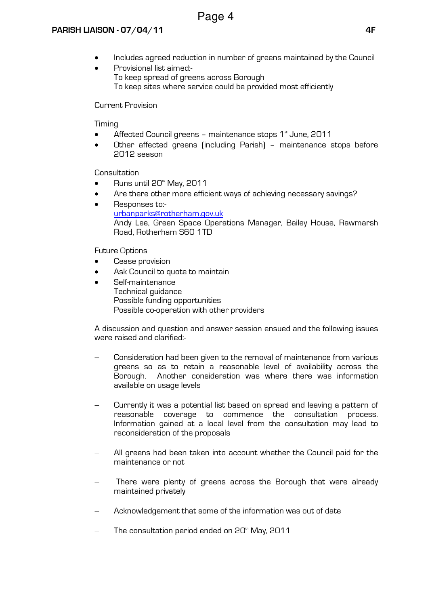- Includes agreed reduction in number of greens maintained by the Council
	- Provisional list aimed:- To keep spread of greens across Borough To keep sites where service could be provided most efficiently

Current Provision

Timing

- Affected Council greens maintenance stops 1<sup>st</sup> June, 2011
- Other affected greens (including Parish) maintenance stops before 2012 season

**Consultation** 

- Runs until  $20<sup>th</sup>$  May, 2011
- Are there other more efficient ways of achieving necessary savings?
- Responses to: urbanparks@rotherham.gov.uk Andy Lee, Green Space Operations Manager, Bailey House, Rawmarsh Road, Rotherham S60 1TD

Future Options

- Cease provision
- Ask Council to quote to maintain
- Self-maintenance Technical guidance Possible funding opportunities Possible co-operation with other providers

A discussion and question and answer session ensued and the following issues were raised and clarified:-

- Consideration had been given to the removal of maintenance from various greens so as to retain a reasonable level of availability across the Borough. Another consideration was where there was information available on usage levels
- − Currently it was a potential list based on spread and leaving a pattern of reasonable coverage to commence the consultation process. Information gained at a local level from the consultation may lead to reconsideration of the proposals
- All greens had been taken into account whether the Council paid for the maintenance or not
- There were plenty of greens across the Borough that were already maintained privately
- − Acknowledgement that some of the information was out of date
- The consultation period ended on 20<sup>th</sup> May, 2011